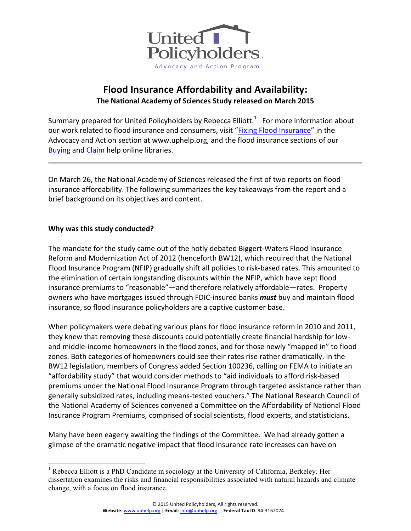

# **Flood Insurance Affordability and Availability: The National Academy of Sciences Study released on March 2015**

Summary prepared for United Policyholders by Rebecca Elliott.<sup>1</sup> For more information about our work related to flood insurance and consumers, visit "Fixing Flood Insurance" in the Advocacy and Action section at www.uphelp.org, and the flood insurance sections of our Buying and Claim help online libraries.

On March 26, the National Academy of Sciences released the first of two reports on flood insurance affordability. The following summarizes the key takeaways from the report and a brief background on its objectives and content.

## **Why was this study conducted?**

The mandate for the study came out of the hotly debated Biggert-Waters Flood Insurance Reform and Modernization Act of 2012 (henceforth BW12), which required that the National Flood Insurance Program (NFIP) gradually shift all policies to risk-based rates. This amounted to the elimination of certain longstanding discounts within the NFIP, which have kept flood insurance premiums to "reasonable"—and therefore relatively affordable—rates. Property owners who have mortgages issued through FDIC-insured banks *must* buy and maintain flood insurance, so flood insurance policyholders are a captive customer base.

When policymakers were debating various plans for flood insurance reform in 2010 and 2011, they knew that removing these discounts could potentially create financial hardship for lowand middle-income homeowners in the flood zones, and for those newly "mapped in" to flood zones. Both categories of homeowners could see their rates rise rather dramatically. In the BW12 legislation, members of Congress added Section 100236, calling on FEMA to initiate an "affordability study" that would consider methods to "aid individuals to afford risk-based premiums under the National Flood Insurance Program through targeted assistance rather than generally subsidized rates, including means-tested vouchers." The National Research Council of the National Academy of Sciences convened a Committee on the Affordability of National Flood Insurance Program Premiums, comprised of social scientists, flood experts, and statisticians.

Many have been eagerly awaiting the findings of the Committee. We had already gotten a glimpse of the dramatic negative impact that flood insurance rate increases can have on

<sup>&</sup>lt;sup>1</sup> Rebecca Elliott is a PhD Candidate in sociology at the University of California, Berkeley. Her dissertation examines the risks and financial responsibilities associated with natural hazards and climate change, with a focus on flood insurance.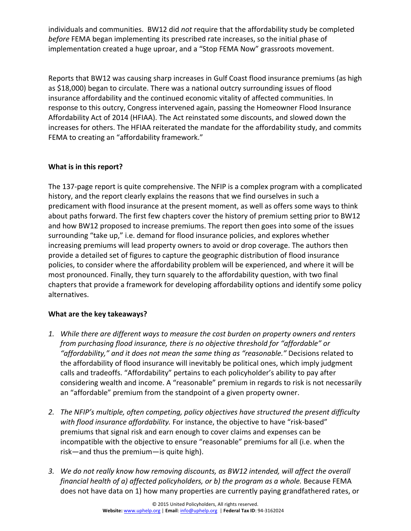individuals and communities. BW12 did not require that the affordability study be completed *before* FEMA began implementing its prescribed rate increases, so the initial phase of implementation created a huge uproar, and a "Stop FEMA Now" grassroots movement.

Reports that BW12 was causing sharp increases in Gulf Coast flood insurance premiums (as high as \$18,000) began to circulate. There was a national outcry surrounding issues of flood insurance affordability and the continued economic vitality of affected communities. In response to this outcry, Congress intervened again, passing the Homeowner Flood Insurance Affordability Act of 2014 (HFIAA). The Act reinstated some discounts, and slowed down the increases for others. The HFIAA reiterated the mandate for the affordability study, and commits FEMA to creating an "affordability framework."

# **What is in this report?**

The 137-page report is quite comprehensive. The NFIP is a complex program with a complicated history, and the report clearly explains the reasons that we find ourselves in such a predicament with flood insurance at the present moment, as well as offers some ways to think about paths forward. The first few chapters cover the history of premium setting prior to BW12 and how BW12 proposed to increase premiums. The report then goes into some of the issues surrounding "take up," i.e. demand for flood insurance policies, and explores whether increasing premiums will lead property owners to avoid or drop coverage. The authors then provide a detailed set of figures to capture the geographic distribution of flood insurance policies, to consider where the affordability problem will be experienced, and where it will be most pronounced. Finally, they turn squarely to the affordability question, with two final chapters that provide a framework for developing affordability options and identify some policy alternatives. 

## **What are the key takeaways?**

- 1. While there are different ways to measure the cost burden on property owners and renters *from purchasing flood insurance, there is no objective threshold for "affordable" or* "affordability," and it does not mean the same thing as "reasonable." Decisions related to the affordability of flood insurance will inevitably be political ones, which imply judgment calls and tradeoffs. "Affordability" pertains to each policyholder's ability to pay after considering wealth and income. A "reasonable" premium in regards to risk is not necessarily an "affordable" premium from the standpoint of a given property owner.
- 2. The NFIP's multiple, often competing, policy objectives have structured the present difficulty with flood insurance affordability. For instance, the objective to have "risk-based" premiums that signal risk and earn enough to cover claims and expenses can be incompatible with the objective to ensure "reasonable" premiums for all (i.e. when the  $risk$ —and thus the premium—is quite high).
- 3. We do not really know how removing discounts, as BW12 intended, will affect the overall *financial health of a) affected policyholders, or b) the program as a whole.* Because FEMA does not have data on 1) how many properties are currently paying grandfathered rates, or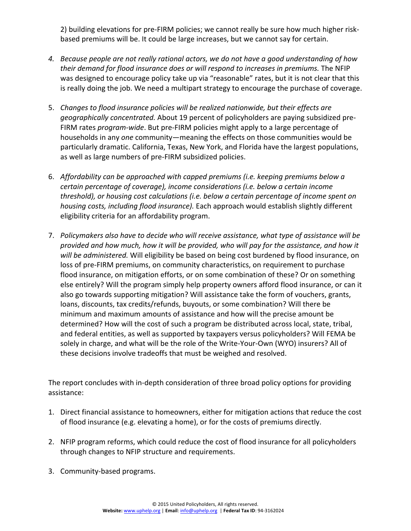2) building elevations for pre-FIRM policies; we cannot really be sure how much higher riskbased premiums will be. It could be large increases, but we cannot say for certain.

- 4. Because people are not really rational actors, we do not have a good understanding of how their demand for flood insurance does or will respond to increases in premiums. The NFIP was designed to encourage policy take up via "reasonable" rates, but it is not clear that this is really doing the job. We need a multipart strategy to encourage the purchase of coverage.
- 5. Changes to flood insurance policies will be realized nationwide, but their effects are geographically concentrated. About 19 percent of policyholders are paying subsidized pre-FIRM rates *program-wide*. But pre-FIRM policies might apply to a large percentage of households in any *one* community—meaning the effects on those communities would be particularly dramatic. California, Texas, New York, and Florida have the largest populations, as well as large numbers of pre-FIRM subsidized policies.
- 6. Affordability can be approached with capped premiums (i.e. keeping premiums below a certain percentage of coverage), income considerations (i.e. below a certain income *threshold), or housing cost calculations (i.e. below a certain percentage of income spent on* housing costs, including flood insurance). Each approach would establish slightly different eligibility criteria for an affordability program.
- 7. Policymakers also have to decide who will receive assistance, what type of assistance will be provided and how much, how it will be provided, who will pay for the assistance, and how it *will be administered.* Will eligibility be based on being cost burdened by flood insurance, on loss of pre-FIRM premiums, on community characteristics, on requirement to purchase flood insurance, on mitigation efforts, or on some combination of these? Or on something else entirely? Will the program simply help property owners afford flood insurance, or can it also go towards supporting mitigation? Will assistance take the form of vouchers, grants, loans, discounts, tax credits/refunds, buyouts, or some combination? Will there be minimum and maximum amounts of assistance and how will the precise amount be determined? How will the cost of such a program be distributed across local, state, tribal, and federal entities, as well as supported by taxpayers versus policyholders? Will FEMA be solely in charge, and what will be the role of the Write-Your-Own (WYO) insurers? All of these decisions involve tradeoffs that must be weighed and resolved.

The report concludes with in-depth consideration of three broad policy options for providing assistance:

- 1. Direct financial assistance to homeowners, either for mitigation actions that reduce the cost of flood insurance (e.g. elevating a home), or for the costs of premiums directly.
- 2. NFIP program reforms, which could reduce the cost of flood insurance for all policyholders through changes to NFIP structure and requirements.
- 3. Community-based programs.